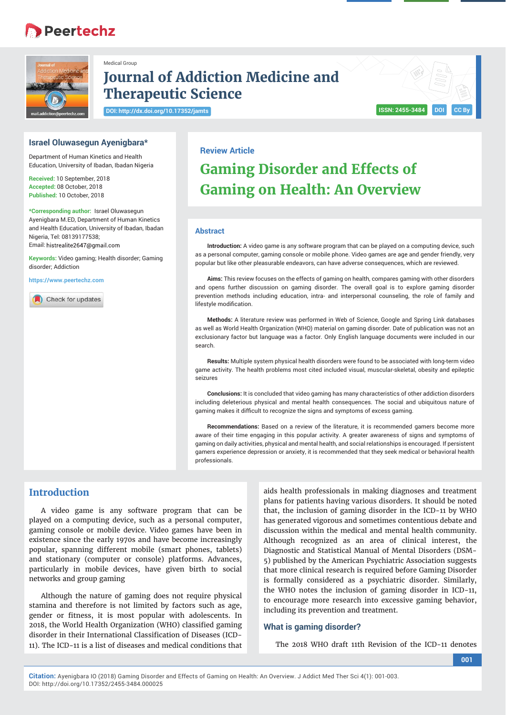# **B** Peertechz



## **Journal of Addiction Medicine and Therapeutic Science**

**DOI: http://dx.doi.org/10.17352/jamts**

Medical Group

## **ISSN: 2455-3484 DOI**

### **Israel Oluwasegun Ayenigbara\***

Department of Human Kinetics and Health Education, University of Ibadan, Ibadan Nigeria

**Received:** 10 September, 2018 **Accepted:** 08 October, 2018 **Published:** 10 October, 2018

**\*Corresponding author:** Israel Oluwasegun Ayenigbara M.ED, Department of Human Kinetics and Health Education, University of Ibadan, Ibadan Nigeria, Tel: 08139177538; Email: histrealite2647@gmail.com

**Keywords:** Video gaming; Health disorder; Gaming disorder; Addiction

**https://www.peertechz.com**

Check for updates

## **Review Article**

# **Gaming Disorder and Effects of Gaming on Health: An Overview**

#### **Abstract**

**Introduction:** A video game is any software program that can be played on a computing device, such as a personal computer, gaming console or mobile phone. Video games are age and gender friendly, very popular but like other pleasurable endeavors, can have adverse consequences, which are reviewed.

**Aims:** This review focuses on the effects of gaming on health, compares gaming with other disorders and opens further discussion on gaming disorder. The overall goal is to explore gaming disorder prevention methods including education, intra- and interpersonal counseling, the role of family and lifestyle modification

**Methods:** A literature review was performed in Web of Science, Google and Spring Link databases as well as World Health Organization (WHO) material on gaming disorder. Date of publication was not an exclusionary factor but language was a factor. Only English language documents were included in our search.

**Results:** Multiple system physical health disorders were found to be associated with long-term video game activity. The health problems most cited included visual, muscular-skeletal, obesity and epileptic seizures

**Conclusions:** It is concluded that video gaming has many characteristics of other addiction disorders including deleterious physical and mental health consequences. The social and ubiquitous nature of gaming makes it difficult to recognize the signs and symptoms of excess gaming.

**Recommendations:** Based on a review of the literature, it is recommended gamers become more aware of their time engaging in this popular activity. A greater awareness of signs and symptoms of gaming on daily activities, physical and mental health, and social relationships is encouraged. If persistent gamers experience depression or anxiety, it is recommended that they seek medical or behavioral health professionals.

### **Introduction**

A video game is any software program that can be played on a computing device, such as a personal computer, gaming console or mobile device. Video games have been in existence since the early 1970s and have become increasingly popular, spanning different mobile (smart phones, tablets) and stationary (computer or console) platforms. Advances, particularly in mobile devices, have given birth to social networks and group gaming

Although the nature of gaming does not require physical stamina and therefore is not limited by factors such as age, gender or fitness, it is most popular with adolescents. In 2018, the World Health Organization (WHO) classified gaming disorder in their International Classification of Diseases (ICD-11). The ICD-11 is a list of diseases and medical conditions that

aids health professionals in making diagnoses and treatment plans for patients having various disorders. It should be noted that, the inclusion of gaming disorder in the ICD-11 by WHO has generated vigorous and sometimes contentious debate and discussion within the medical and mental health community. Although recognized as an area of clinical interest, the Diagnostic and Statistical Manual of Mental Disorders (DSM-5) published by the American Psychiatric Association suggests that more clinical research is required before Gaming Disorder is formally considered as a psychiatric disorder. Similarly, the WHO notes the inclusion of gaming disorder in ICD-11, to encourage more research into excessive gaming behavior, including its prevention and treatment.

#### **What is gaming disorder?**

The 2018 WHO draft 11th Revision of the ICD-11 denotes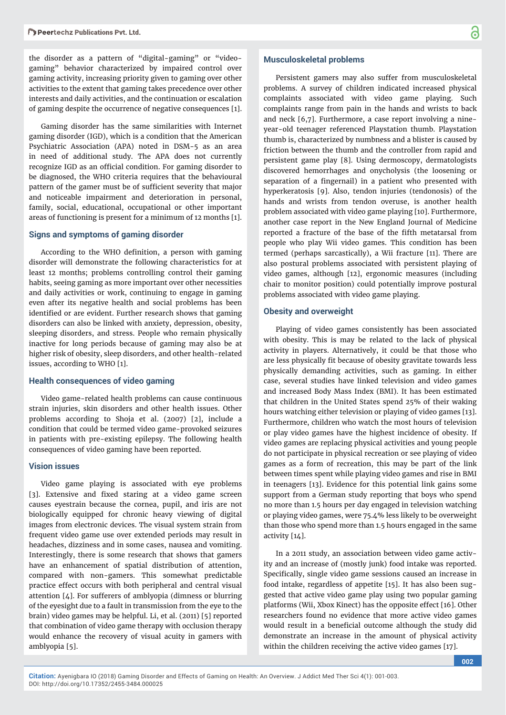the disorder as a pattern of "digital-gaming" or "videogaming" behavior characterized by impaired control over gaming activity, increasing priority given to gaming over other activities to the extent that gaming takes precedence over other interests and daily activities, and the continuation or escalation of gaming despite the occurrence of negative consequences [1].

Gaming disorder has the same similarities with Internet gaming disorder (IGD), which is a condition that the American Psychiatric Association (APA) noted in DSM-5 as an area in need of additional study. The APA does not currently recognize IGD as an official condition. For gaming disorder to be diagnosed, the WHO criteria requires that the behavioural pattern of the gamer must be of sufficient severity that major and noticeable impairment and deterioration in personal, family, social, educational, occupational or other important areas of functioning is present for a minimum of 12 months [1].

#### **Signs and symptoms of gaming disorder**

According to the WHO definition, a person with gaming disorder will demonstrate the following characteristics for at least 12 months; problems controlling control their gaming habits, seeing gaming as more important over other necessities and daily activities or work, continuing to engage in gaming even after its negative health and social problems has been identified or are evident. Further research shows that gaming disorders can also be linked with anxiety, depression, obesity, sleeping disorders, and stress. People who remain physically inactive for long periods because of gaming may also be at higher risk of obesity, sleep disorders, and other health-related issues, according to WHO [1].

#### **Health consequences of video gaming**

Video game-related health problems can cause continuous strain injuries, skin disorders and other health issues. Other problems according to Shoja et al. (2007) [2], include a condition that could be termed video game-provoked seizures in patients with pre-existing epilepsy. The following health consequences of video gaming have been reported.

#### **Vision issues**

Video game playing is associated with eye problems [3]. Extensive and fixed staring at a video game screen causes eyestrain because the cornea, pupil, and iris are not biologically equipped for chronic heavy viewing of digital images from electronic devices. The visual system strain from frequent video game use over extended periods may result in headaches, dizziness and in some cases, nausea and vomiting. Interestingly, there is some research that shows that gamers have an enhancement of spatial distribution of attention, compared with non-gamers. This somewhat predictable practice effect occurs with both peripheral and central visual attention [4]. For sufferers of amblyopia (dimness or blurring of the eyesight due to a fault in transmission from the eye to the brain) video games may be helpful. Li, et al. (2011) [5] reported that combination of video game therapy with occlusion therapy would enhance the recovery of visual acuity in gamers with amblyopia [5].

#### **Musculoskeletal problems**

Persistent gamers may also suffer from musculoskeletal problems. A survey of children indicated increased physical complaints associated with video game playing. Such complaints range from pain in the hands and wrists to back and neck [6,7]. Furthermore, a case report involving a nineyear-old teenager referenced Playstation thumb. Playstation thumb is, characterized by numbness and a blister is caused by friction between the thumb and the controller from rapid and persistent game play [8]. Using dermoscopy, dermatologists discovered hemorrhages and onycholysis (the loosening or separation of a fingernail) in a patient who presented with hyperkeratosis [9]. Also, tendon injuries (tendonosis) of the hands and wrists from tendon overuse, is another health problem associated with video game playing [10]. Furthermore, another case report in the New England Journal of Medicine reported a fracture of the base of the fifth metatarsal from people who play Wii video games. This condition has been termed (perhaps sarcastically), a Wii fracture [11]. There are also postural problems associated with persistent playing of video games, although [12], ergonomic measures (including chair to monitor position) could potentially improve postural problems associated with video game playing.

#### **Obesity and overweight**

Playing of video games consistently has been associated with obesity. This is may be related to the lack of physical activity in players. Alternatively, it could be that those who are less physically fit because of obesity gravitate towards less physically demanding activities, such as gaming. In either case, several studies have linked television and video games and increased Body Mass Index (BMI). It has been estimated that children in the United States spend 25% of their waking hours watching either television or playing of video games [13]. Furthermore, children who watch the most hours of television or play video games have the highest incidence of obesity. If video games are replacing physical activities and young people do not participate in physical recreation or see playing of video games as a form of recreation, this may be part of the link between times spent while playing video games and rise in BMI in teenagers [13]. Evidence for this potential link gains some support from a German study reporting that boys who spend no more than 1.5 hours per day engaged in television watching or playing video games, were 75.4% less likely to be overweight than those who spend more than 1.5 hours engaged in the same activity [14].

In a 2011 study, an association between video game activity and an increase of (mostly junk) food intake was reported. Specifically, single video game sessions caused an increase in food intake, regardless of appetite [15]. It has also been suggested that active video game play using two popular gaming platforms (Wii, Xbox Kinect) has the opposite effect [16]. Other researchers found no evidence that more active video games would result in a beneficial outcome although the study did demonstrate an increase in the amount of physical activity within the children receiving the active video games [17].